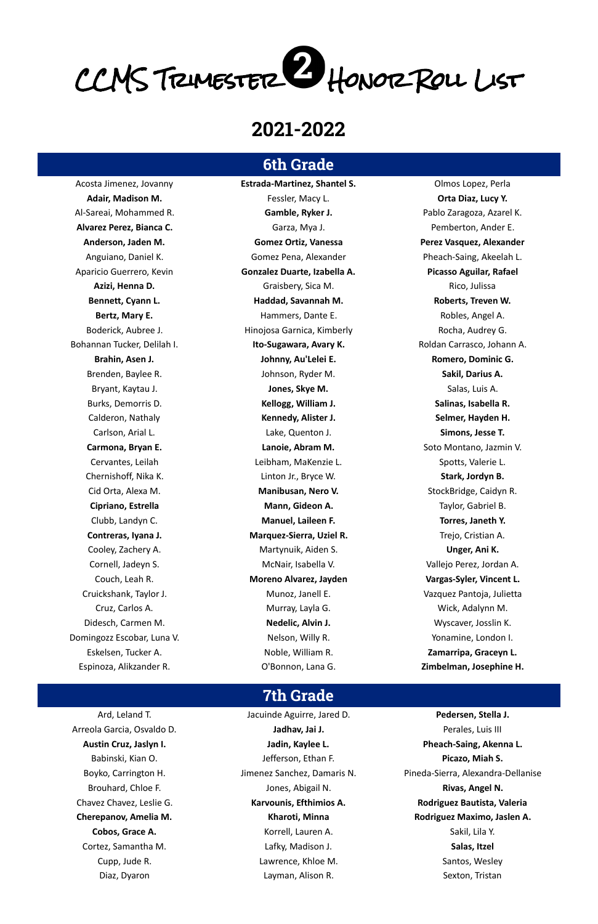# CCMS Trimester Honor Roll List

## **2021-2022**

#### **6th Grade**

Acosta Jimenez, Jovanny **Estrada-Martinez, Shantel S.** Olmos Lopez, Perla **Adair, Madison M.** Fessler, Macy L. **Orta Diaz, Lucy Y.** Al-Sareai, Mohammed R. **Gamble, Ryker J.** Pablo Zaragoza, Azarel K. **Alvarez Perez, Bianca C.** Garza, Mya J. Pemberton, Ander E. **Anderson, Jaden M. Gomez Ortiz, Vanessa Perez Vasquez, Alexander** Anguiano, Daniel K. The Comez Pena, Alexander Theach-Saing, Akeelah L. Aparicio Guerrero, Kevin **Gonzalez Duarte, Izabella A. Picasso Aguilar, Rafael Azizi, Henna D.** Graisbery, Sica M. Rico, Julissa **Bennett, Cyann L. Haddad, Savannah M. Roberts, Treven W.** Bertz, Mary E. The Martin Communication of Hammers, Dante E. The Martin Communication Robles, Angel A. Boderick, Aubree J. The Chinojosa Garnica, Kimberly The Rocha, Audrey G. The Rocha, Audrey G. Bohannan Tucker, Delilah I. **Ito-Sugawara, Avary K.** Roldan Carrasco, Johann A. **Brahin, Asen J. Johnny, Au'Lelei E. Romero, Dominic G.** Brenden, Baylee R. **Sakil, Darius A.** Johnson, Ryder M. **Sakil, Darius A.** Sakil, Darius A. Bryant, Kaytau J. **Jones, Skye M.** Salas, Luis A. Salas, Luis A. Salas, Luis A. Salas, Luis A. Burks, Demorris D. **Kellogg, William J. Salinas, Isabella R.** Calderon, Nathaly **Kennedy, Alister J. Selmer, Hayden H.** Carlson, Arial L. Lake, Quenton J. **Simons, Jesse T. Carmona, Bryan E. Lanoie, Abram M.** Soto Montano, Jazmin V. Cervantes, Leilah **Leibham, MaKenzie L.** Spotts, Valerie L. Spotts, Valerie L. Chernishoff, Nika K. Linton Jr., Bryce W. **Stark, Jordyn B.** Cid Orta, Alexa M. **Manibusan, Nero V.** StockBridge, Caidyn R. **Cipriano, Estrella Mann, Gideon A.** Taylor, Gabriel B. Clubb, Landyn C. **Manuel, Laileen F. Torres, Janeth Y. Contreras, Iyana J. Marquez-Sierra, Uziel R.** Trejo, Cristian A. Cooley, Zachery A. Martynuik, Aiden S. **Unger, Ani K.** Cornell, Jadeyn S. McNair, Isabella V. Vallejo Perez, Jordan A. Couch, Leah R. **Moreno Alvarez, Jayden Vargas-Syler, Vincent L.** Cruickshank, Taylor J. Munoz, Janell E. Vazquez Pantoja, Julietta Cruz, Carlos A. Murray, Layla G. Wick, Adalynn M. Didesch, Carmen M. **Nedelic, Alvin J.** Netro M. Netering M. Netering M. Netering M. Netering M. Netering M. Netering M. Netering M. Netering M. Netering M. Netering M. Netering M. Netering M. Netering M. Netering M. Neteri Domingozz Escobar, Luna V. Nelson, Willy R. Nelson, Willy R. Nelson, Willy R. Nelson, Willy R. Nelson, Willy R. Nelson, Willy R. Nelson, Willy R. Nelson, Willy R. Nelson, Willy R. Nelson, Willy R. Nelson, Willy R. Nelson, Eskelsen, Tucker A. Noble, William R. **Zamarripa, Graceyn L.** Espinoza, Alikzander R. O'Bonnon, Lana G. **Zimbelman, Josephine H.**

**Austin Cruz, Jaslyn I. Jadin, Kaylee L. Pheach-Saing, Akenna L.** Boyko, Carrington H. Jimenez Sanchez, Damaris N. Pineda-Sierra, Alexandra-Dellanise Chavez Chavez, Leslie G. **Karvounis, Efthimios A. Rodriguez Bautista, Valeria Cherepanov, Amelia M. Rodriguez Maximo, Jaslen A. Rodriguez Maximo, Jaslen A.** 

Ard, Leland T. **In the Communist Contract Aguirre**, Jared D. **Pedersen, Stella J. Pedersen, Stella J.** Babinski, Kian O. Jefferson, Ethan F. **Picazo, Miah S.** Brouhard, Chloe F. **Brouhard, Chloe F. Rivas, Angel N. Jones, Abigail N. Rivas, Angel N. Rivas, Angel N. Cobos, Grace A.** Sakil, Lila Y. And Korrell, Lauren A. Sakil, Lila Y. Sakil, Lila Y. Cortez, Samantha M. Lafky, Madison J. **Salas, Itzel** Cupp, Jude R. The Cupp, Jude R. Lawrence, Khloe M. Santos, Wesley Music Santos, Wesley Diaz, Dyaron Layman, Alison R. Sexton, Tristan

### **7th Grade**

Arreola Garcia, Osvaldo D. **Jadhav, Jai J.** Perales, Luis III